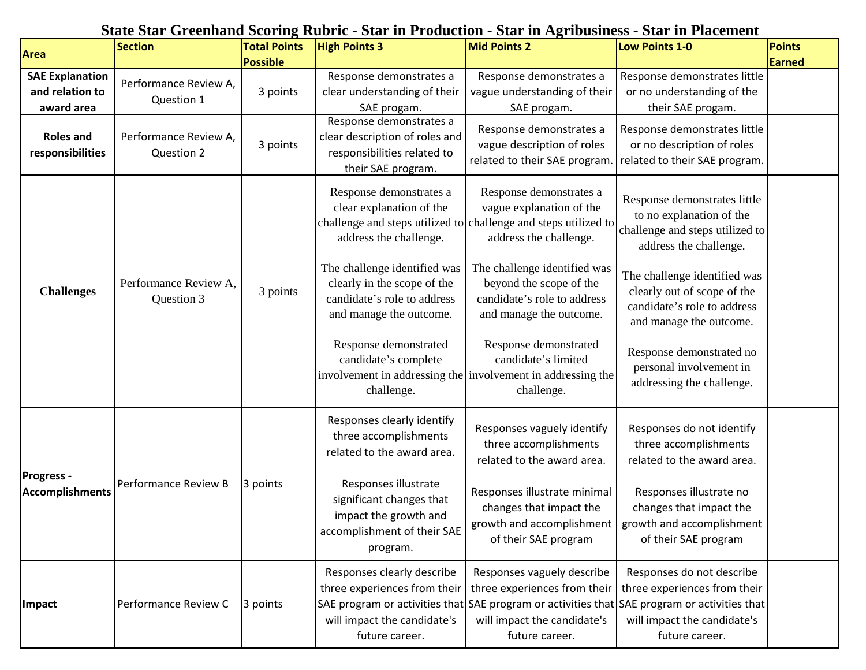## **State Star Greenhand Scoring Rubric - Star in Production - Star in Agribusiness - Star in Placement**

| Area                                                    | <b>Section</b>                      | <b>Total Points</b>         | <b>High Points 3</b>                                                                                                  | Mid Points 2                                                                                                                                     | <b>Low Points 1-0</b>                                                                                                                                                                                      | Points        |
|---------------------------------------------------------|-------------------------------------|-----------------------------|-----------------------------------------------------------------------------------------------------------------------|--------------------------------------------------------------------------------------------------------------------------------------------------|------------------------------------------------------------------------------------------------------------------------------------------------------------------------------------------------------------|---------------|
| <b>SAE Explanation</b><br>and relation to<br>award area | Performance Review A,<br>Question 1 | <b>Possible</b><br>3 points | Response demonstrates a<br>clear understanding of their<br>SAE progam.                                                | Response demonstrates a<br>vague understanding of their<br>SAE progam.                                                                           | Response demonstrates little<br>or no understanding of the<br>their SAE progam.                                                                                                                            | <b>Earned</b> |
| <b>Roles and</b><br>responsibilities                    | Performance Review A,<br>Question 2 | 3 points                    | Response demonstrates a<br>clear description of roles and<br>responsibilities related to<br>their SAE program.        | Response demonstrates a<br>vague description of roles<br>related to their SAE program.                                                           | Response demonstrates little<br>or no description of roles<br>related to their SAE program.                                                                                                                |               |
| <b>Challenges</b>                                       | Performance Review A,<br>Question 3 | 3 points                    | Response demonstrates a<br>clear explanation of the<br>address the challenge.                                         | Response demonstrates a<br>vague explanation of the<br>challenge and steps utilized to challenge and steps utilized to<br>address the challenge. | Response demonstrates little<br>to no explanation of the<br>challenge and steps utilized to<br>address the challenge.                                                                                      |               |
|                                                         |                                     |                             | The challenge identified was<br>clearly in the scope of the<br>candidate's role to address<br>and manage the outcome. | The challenge identified was<br>beyond the scope of the<br>candidate's role to address<br>and manage the outcome.                                | The challenge identified was<br>clearly out of scope of the<br>candidate's role to address<br>and manage the outcome.                                                                                      |               |
|                                                         |                                     |                             | Response demonstrated<br>candidate's complete<br>involvement in addressing the<br>challenge.                          | Response demonstrated<br>candidate's limited<br>involvement in addressing the<br>challenge.                                                      | Response demonstrated no<br>personal involvement in<br>addressing the challenge.                                                                                                                           |               |
| <b>Progress -</b><br><b>Accomplishments</b>             | Performance Review B                | 3 points                    | Responses clearly identify<br>three accomplishments<br>related to the award area.                                     | Responses vaguely identify<br>three accomplishments<br>related to the award area.                                                                | Responses do not identify<br>three accomplishments<br>related to the award area.                                                                                                                           |               |
|                                                         |                                     |                             | Responses illustrate<br>significant changes that<br>impact the growth and<br>accomplishment of their SAE<br>program.  | Responses illustrate minimal<br>changes that impact the<br>growth and accomplishment<br>of their SAE program                                     | Responses illustrate no<br>changes that impact the<br>growth and accomplishment<br>of their SAE program                                                                                                    |               |
| Impact                                                  | Performance Review C                | 3 points                    | Responses clearly describe<br>three experiences from their<br>will impact the candidate's<br>future career.           | Responses vaguely describe<br>three experiences from their<br>will impact the candidate's<br>future career.                                      | Responses do not describe<br>three experiences from their<br>SAE program or activities that SAE program or activities that SAE program or activities that<br>will impact the candidate's<br>future career. |               |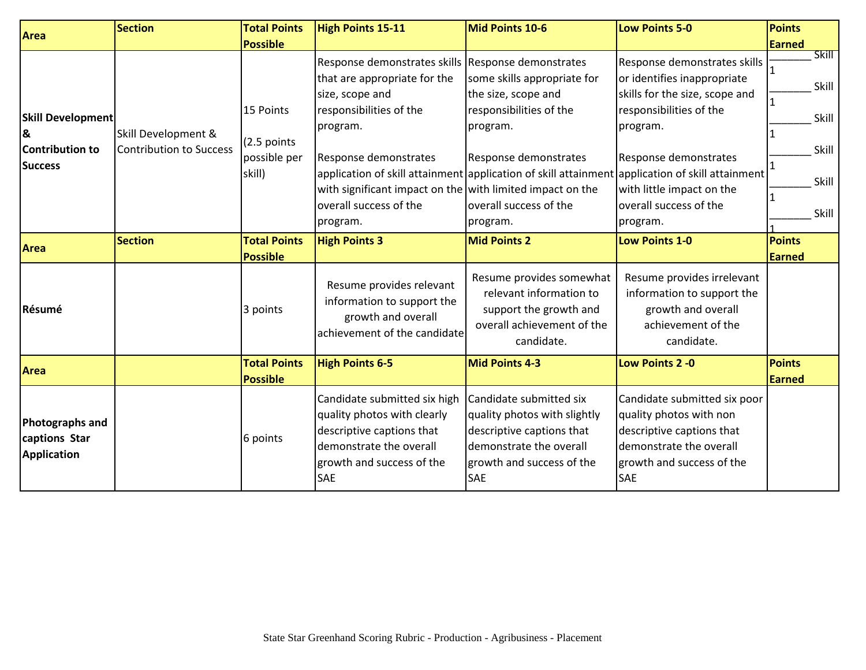| Area                                                               | <b>Section</b>                                        | <b>Total Points</b>                                | <b>High Points 15-11</b>                                                                                                                                                                                                                                                                                                                    | Mid Points 10-6                                                                                                                                            | <b>Low Points 5-0</b>                                                                                                                                                                                                                                               | <b>Points</b>                                                          |
|--------------------------------------------------------------------|-------------------------------------------------------|----------------------------------------------------|---------------------------------------------------------------------------------------------------------------------------------------------------------------------------------------------------------------------------------------------------------------------------------------------------------------------------------------------|------------------------------------------------------------------------------------------------------------------------------------------------------------|---------------------------------------------------------------------------------------------------------------------------------------------------------------------------------------------------------------------------------------------------------------------|------------------------------------------------------------------------|
|                                                                    |                                                       | <b>Possible</b>                                    |                                                                                                                                                                                                                                                                                                                                             |                                                                                                                                                            |                                                                                                                                                                                                                                                                     | <b>Earned</b>                                                          |
| Skill Development<br>&<br><b>Contribution to</b><br><b>Success</b> | Skill Development &<br><b>Contribution to Success</b> | 15 Points<br>(2.5 points<br>possible per<br>skill) | Response demonstrates skills Response demonstrates<br>that are appropriate for the<br>size, scope and<br>responsibilities of the<br>program.<br>Response demonstrates<br>application of skill attainment application of skill attainment<br>with significant impact on the with limited impact on the<br>overall success of the<br>program. | some skills appropriate for<br>the size, scope and<br>responsibilities of the<br>program.<br>Response demonstrates<br>overall success of the<br>program.   | Response demonstrates skills<br>or identifies inappropriate<br>skills for the size, scope and<br>responsibilities of the<br>program.<br>Response demonstrates<br>application of skill attainment<br>with little impact on the<br>overall success of the<br>program. | $\overline{\text{Skill}}$<br>Skill<br>Skill<br>Skill<br>Skill<br>Skill |
| <b>Area</b>                                                        | <b>Section</b>                                        | <b>Total Points</b><br><b>Possible</b>             | <b>High Points 3</b>                                                                                                                                                                                                                                                                                                                        | <b>Mid Points 2</b>                                                                                                                                        | <b>Low Points 1-0</b>                                                                                                                                                                                                                                               | <b>Points</b><br><b>Earned</b>                                         |
| Résumé                                                             |                                                       | 3 points                                           | Resume provides relevant<br>information to support the<br>growth and overall<br>achievement of the candidate                                                                                                                                                                                                                                | Resume provides somewhat<br>relevant information to<br>support the growth and<br>overall achievement of the<br>candidate.                                  | Resume provides irrelevant<br>information to support the<br>growth and overall<br>achievement of the<br>candidate.                                                                                                                                                  |                                                                        |
| <b>Area</b>                                                        |                                                       | <b>Total Points</b><br><b>Possible</b>             | <b>High Points 6-5</b>                                                                                                                                                                                                                                                                                                                      | Mid Points 4-3                                                                                                                                             | Low Points 2 - 0                                                                                                                                                                                                                                                    | <b>Points</b><br><b>Earned</b>                                         |
| <b>Photographs and</b><br>captions Star<br><b>Application</b>      |                                                       | 6 points                                           | Candidate submitted six high<br>quality photos with clearly<br>descriptive captions that<br>demonstrate the overall<br>growth and success of the<br><b>SAE</b>                                                                                                                                                                              | Candidate submitted six<br>quality photos with slightly<br>descriptive captions that<br>demonstrate the overall<br>growth and success of the<br><b>SAE</b> | Candidate submitted six poor<br>quality photos with non<br>descriptive captions that<br>demonstrate the overall<br>growth and success of the<br><b>SAE</b>                                                                                                          |                                                                        |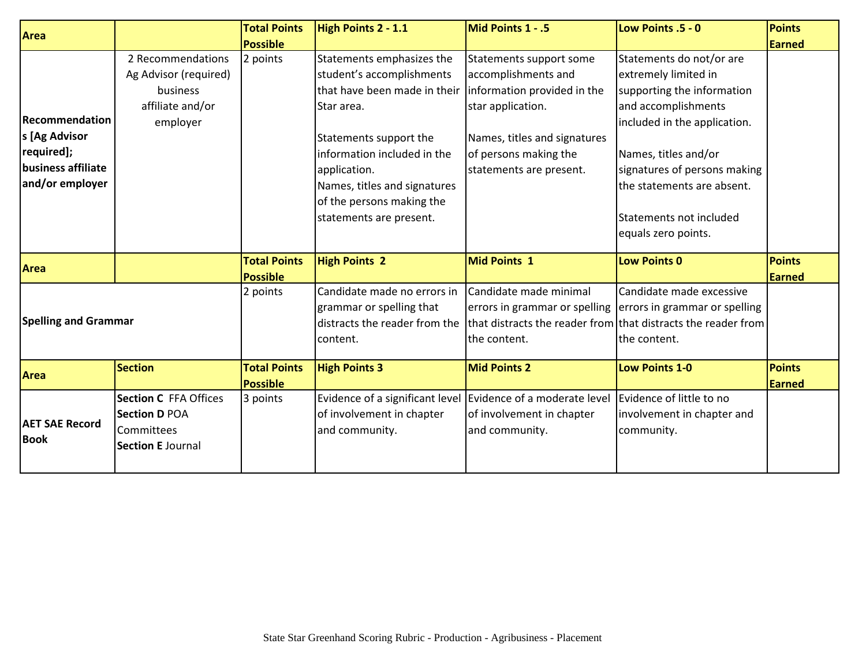| <b>Area</b>                          |                              | <b>Total Points</b> | High Points 2 - 1.1             | Mid Points 1 - .5                                             | Low Points .5 - 0             | <b>Points</b> |
|--------------------------------------|------------------------------|---------------------|---------------------------------|---------------------------------------------------------------|-------------------------------|---------------|
|                                      |                              | <b>Possible</b>     |                                 |                                                               |                               | Earned        |
|                                      | 2 Recommendations            | 2 points            | Statements emphasizes the       | Statements support some                                       | Statements do not/or are      |               |
|                                      | Ag Advisor (required)        |                     | student's accomplishments       | accomplishments and                                           | extremely limited in          |               |
|                                      | business                     |                     | that have been made in their    | information provided in the                                   | supporting the information    |               |
|                                      | affiliate and/or             |                     | <b>Star area.</b>               | star application.                                             | and accomplishments           |               |
| <b>Recommendation</b>                | employer                     |                     |                                 |                                                               | included in the application.  |               |
| s [Ag Advisor                        |                              |                     | Statements support the          | Names, titles and signatures                                  |                               |               |
| required];                           |                              |                     | information included in the     | of persons making the                                         | Names, titles and/or          |               |
| business affiliate                   |                              |                     | application.                    | statements are present.                                       | signatures of persons making  |               |
| and/or employer                      |                              |                     | Names, titles and signatures    |                                                               | the statements are absent.    |               |
|                                      |                              |                     | of the persons making the       |                                                               |                               |               |
|                                      |                              |                     | statements are present.         |                                                               | Statements not included       |               |
|                                      |                              |                     |                                 |                                                               | equals zero points.           |               |
|                                      |                              |                     |                                 |                                                               |                               |               |
| <b>Area</b>                          |                              | <b>Total Points</b> | <b>High Points 2</b>            | <b>Mid Points 1</b>                                           | <b>Low Points 0</b>           | <b>Points</b> |
|                                      |                              | <b>Possible</b>     |                                 |                                                               |                               | <b>Earned</b> |
|                                      |                              | 2 points            | Candidate made no errors in     | Candidate made minimal                                        | Candidate made excessive      |               |
|                                      |                              |                     | grammar or spelling that        | errors in grammar or spelling                                 | errors in grammar or spelling |               |
| <b>Spelling and Grammar</b>          |                              |                     | distracts the reader from the   | that distracts the reader from that distracts the reader from |                               |               |
|                                      |                              |                     | content.                        | the content.                                                  | the content.                  |               |
|                                      | <b>Section</b>               | <b>Total Points</b> | <b>High Points 3</b>            | <b>Mid Points 2</b>                                           | <b>Low Points 1-0</b>         | <b>Points</b> |
| <b>Area</b>                          |                              | <b>Possible</b>     |                                 |                                                               |                               | <b>Earned</b> |
|                                      | <b>Section C</b> FFA Offices | 3 points            | Evidence of a significant level | Evidence of a moderate level                                  | Evidence of little to no      |               |
| <b>AET SAE Record</b><br><b>Book</b> | <b>Section D POA</b>         |                     | of involvement in chapter       | of involvement in chapter                                     | involvement in chapter and    |               |
|                                      | Committees                   |                     | and community.                  | and community.                                                | community.                    |               |
|                                      | <b>Section E Journal</b>     |                     |                                 |                                                               |                               |               |
|                                      |                              |                     |                                 |                                                               |                               |               |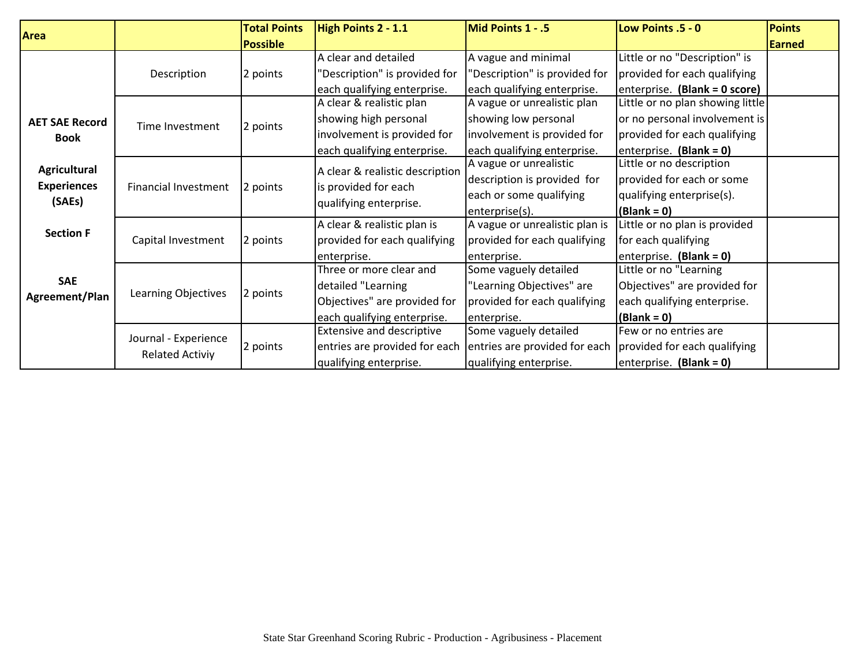| <b>Area</b>           |                                                | <b>Total Points</b> | High Points 2 - 1.1              | Mid Points 1 - .5              | Low Points .5 - 0                | <b>Points</b> |
|-----------------------|------------------------------------------------|---------------------|----------------------------------|--------------------------------|----------------------------------|---------------|
|                       |                                                | <b>Possible</b>     |                                  |                                |                                  | Earned        |
|                       |                                                |                     | A clear and detailed             | A vague and minimal            | Little or no "Description" is    |               |
|                       | Description                                    | 2 points            | "Description" is provided for    | "Description" is provided for  | provided for each qualifying     |               |
|                       |                                                |                     | each qualifying enterprise.      | each qualifying enterprise.    | enterprise. (Blank = 0 score)    |               |
|                       |                                                |                     | A clear & realistic plan         | A vague or unrealistic plan    | Little or no plan showing little |               |
| <b>AET SAE Record</b> | Time Investment                                | 2 points            | showing high personal            | showing low personal           | or no personal involvement is    |               |
| <b>Book</b>           |                                                |                     | involvement is provided for      | involvement is provided for    | provided for each qualifying     |               |
|                       |                                                |                     | each qualifying enterprise.      | each qualifying enterprise.    | enterprise. (Blank = 0)          |               |
| Agricultural          |                                                |                     | A clear & realistic description  | A vague or unrealistic         | Little or no description         |               |
| <b>Experiences</b>    | <b>Financial Investment</b>                    | 2 points            | is provided for each             | description is provided for    | provided for each or some        |               |
| (SAEs)                |                                                |                     |                                  | each or some qualifying        | qualifying enterprise(s).        |               |
|                       |                                                |                     | qualifying enterprise.           | enterprise(s).                 | $(Blank = 0)$                    |               |
| <b>Section F</b>      |                                                | 2 points            | A clear & realistic plan is      | A vague or unrealistic plan is | Little or no plan is provided    |               |
|                       | Capital Investment                             |                     | provided for each qualifying     | provided for each qualifying   | for each qualifying              |               |
|                       |                                                |                     | enterprise.                      | enterprise.                    | enterprise. $(Blank = 0)$        |               |
|                       | <b>SAE</b><br>Learning Objectives              | 2 points            | Three or more clear and          | Some vaguely detailed          | Little or no "Learning           |               |
|                       |                                                |                     | detailed "Learning               | "Learning Objectives" are      | Objectives" are provided for     |               |
| Agreement/Plan        |                                                |                     | Objectives" are provided for     | provided for each qualifying   | each qualifying enterprise.      |               |
|                       |                                                |                     | each qualifying enterprise.      | enterprise.                    | $(Blank = 0)$                    |               |
|                       | Journal - Experience<br><b>Related Activiy</b> | 2 points            | <b>Extensive and descriptive</b> | Some vaguely detailed          | Few or no entries are            |               |
|                       |                                                |                     | entries are provided for each    | entries are provided for each  | provided for each qualifying     |               |
|                       |                                                |                     | qualifying enterprise.           | qualifying enterprise.         | enterprise. (Blank = 0)          |               |